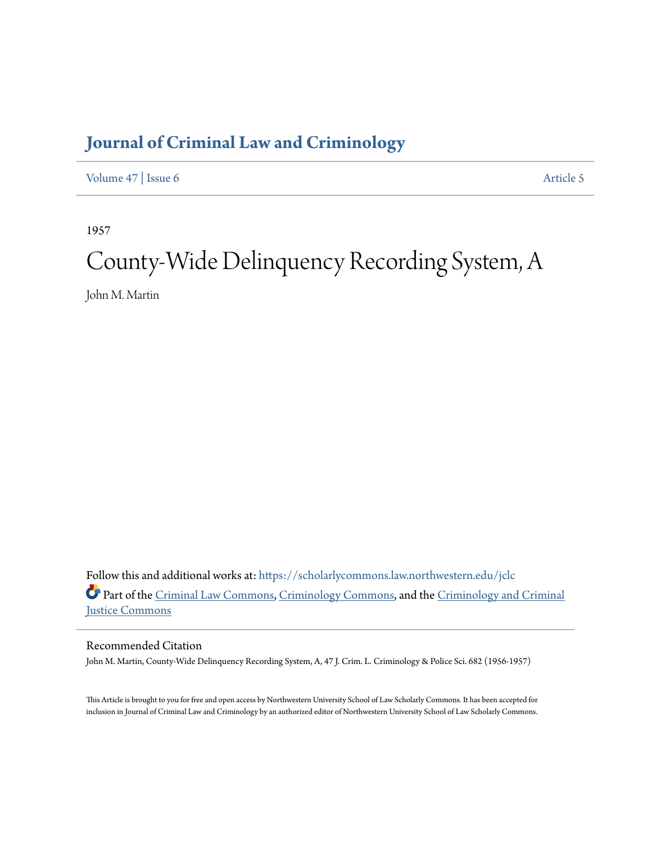## **[Journal of Criminal Law and Criminology](https://scholarlycommons.law.northwestern.edu/jclc?utm_source=scholarlycommons.law.northwestern.edu%2Fjclc%2Fvol47%2Fiss6%2F5&utm_medium=PDF&utm_campaign=PDFCoverPages)**

[Volume 47](https://scholarlycommons.law.northwestern.edu/jclc/vol47?utm_source=scholarlycommons.law.northwestern.edu%2Fjclc%2Fvol47%2Fiss6%2F5&utm_medium=PDF&utm_campaign=PDFCoverPages) | [Issue 6](https://scholarlycommons.law.northwestern.edu/jclc/vol47/iss6?utm_source=scholarlycommons.law.northwestern.edu%2Fjclc%2Fvol47%2Fiss6%2F5&utm_medium=PDF&utm_campaign=PDFCoverPages) [Article 5](https://scholarlycommons.law.northwestern.edu/jclc/vol47/iss6/5?utm_source=scholarlycommons.law.northwestern.edu%2Fjclc%2Fvol47%2Fiss6%2F5&utm_medium=PDF&utm_campaign=PDFCoverPages)

1957

## County-Wide Delinquency Recording System, A

John M. Martin

Follow this and additional works at: [https://scholarlycommons.law.northwestern.edu/jclc](https://scholarlycommons.law.northwestern.edu/jclc?utm_source=scholarlycommons.law.northwestern.edu%2Fjclc%2Fvol47%2Fiss6%2F5&utm_medium=PDF&utm_campaign=PDFCoverPages) Part of the [Criminal Law Commons](http://network.bepress.com/hgg/discipline/912?utm_source=scholarlycommons.law.northwestern.edu%2Fjclc%2Fvol47%2Fiss6%2F5&utm_medium=PDF&utm_campaign=PDFCoverPages), [Criminology Commons](http://network.bepress.com/hgg/discipline/417?utm_source=scholarlycommons.law.northwestern.edu%2Fjclc%2Fvol47%2Fiss6%2F5&utm_medium=PDF&utm_campaign=PDFCoverPages), and the [Criminology and Criminal](http://network.bepress.com/hgg/discipline/367?utm_source=scholarlycommons.law.northwestern.edu%2Fjclc%2Fvol47%2Fiss6%2F5&utm_medium=PDF&utm_campaign=PDFCoverPages) [Justice Commons](http://network.bepress.com/hgg/discipline/367?utm_source=scholarlycommons.law.northwestern.edu%2Fjclc%2Fvol47%2Fiss6%2F5&utm_medium=PDF&utm_campaign=PDFCoverPages)

Recommended Citation

John M. Martin, County-Wide Delinquency Recording System, A, 47 J. Crim. L. Criminology & Police Sci. 682 (1956-1957)

This Article is brought to you for free and open access by Northwestern University School of Law Scholarly Commons. It has been accepted for inclusion in Journal of Criminal Law and Criminology by an authorized editor of Northwestern University School of Law Scholarly Commons.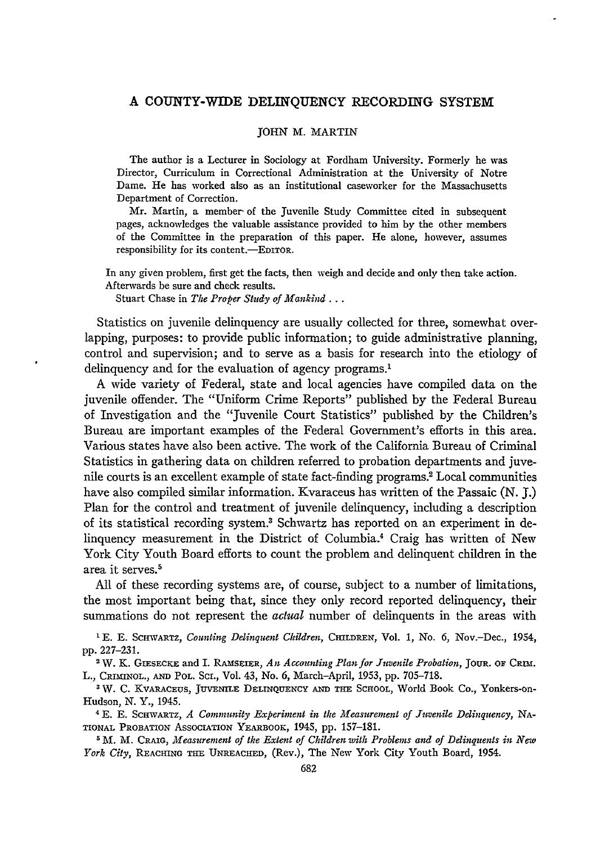## **A COUNTY-WIDE DELINQUENCY** RECORDING **SYSTEM**

## JOHN M. MARTIN

The author is a Lecturer in Sociology at Fordham University. Formerly he was Director, Curriculum in Correctional Administration at the University of Notre Dame. He has worked also as an institutional caseworker for the Massachusetts Department of Correction.

Mr. Martin, a member- of the Juvenile Study Committee cited in subsequent pages, acknowledges the valuable assistance provided to him by the other members of the Committee in the preparation of this paper. He alone, however, assumes responsibility for its content.-EDITOR.

In any given problem, first get the facts, then weigh and decide and only then take action. Afterwards be sure and check results.

Stuart Chase in *The Proper Study of Mankind...*

Statistics on juvenile delinquency are usually collected for three, somewhat overlapping, purposes: to provide public information; to guide administrative planning, control and supervision; and to serve as a basis for research into the etiology of delinquency and for the evaluation of agency programs.<sup>1</sup>

**A** wide variety of Federal, state and local agencies have compiled data on the juvenile offender. The "Uniform Crime Reports" published **by** the Federal Bureau of Investigation and the "Juvenile Court Statistics" published **by** the Children's Bureau are important examples of the Federal Government's efforts in this area. Various states have also been active. The work of the California Bureau of Criminal Statistics in gathering data on children referred to probation departments and juvenile courts is an excellent example of state fact-finding programs.2 Local communities have also compiled similar information. Kvaraceus has written of the Passaic **(N.** *J.)* Plan for the control and treatment of juvenile delinquency, including a description of its statistical recording system.3 Schwartz has reported on an experiment in delinquency measurement in the District of Columbia.<sup>4</sup> Craig has written of New York City Youth Board efforts to count the problem and delinquent children in the area it serves.<sup>5</sup>

All of these recording systems are, of course, subject to a number of limitations, the most important being that, since they only record reported delinquency, their summations do not represent the *actual* number of delinquents in the areas with

<sup>1</sup> E. E. SCHWARTZ, *Counting Delinquent Children*, CHILDREN, Vol. 1, No. 6, Nov.-Dec., 1954, pp. 227-231.

<sup>2</sup> W. K. GIESECKE and I. RAMSEIER, *An Accounting Plan for Juvenile Probation*, JOUR. OF CRIM. L., CRIMNOL., **AND** POL. SC., Vol. 43, No. 6, March-April, 1953, **pp.** 705-718.

**3W. C.** KVARACEUS, **JUVENiLE DELINQUENCY AND THE** SCHOOL, World Book Co., Yonkers-on-Hudson, **N.** Y., 1945.

<sup>4</sup>**E. E.** ScHwARTz, *A Community Experiment in the Measurement of Juvenile Delinquency,* **NA-**TIONAL PROBATION **AssocIATIoN** YEARBOOK, 1945, **pp.** 157-181.

**<sup>5</sup>**M. M. CRAIG, *Mfeasurement of the Extent of Children with Problems and of Delinquents in New York City,* REACHING **THE** UNREACHEED, (Rev.), The New York City Youth Board, 1954.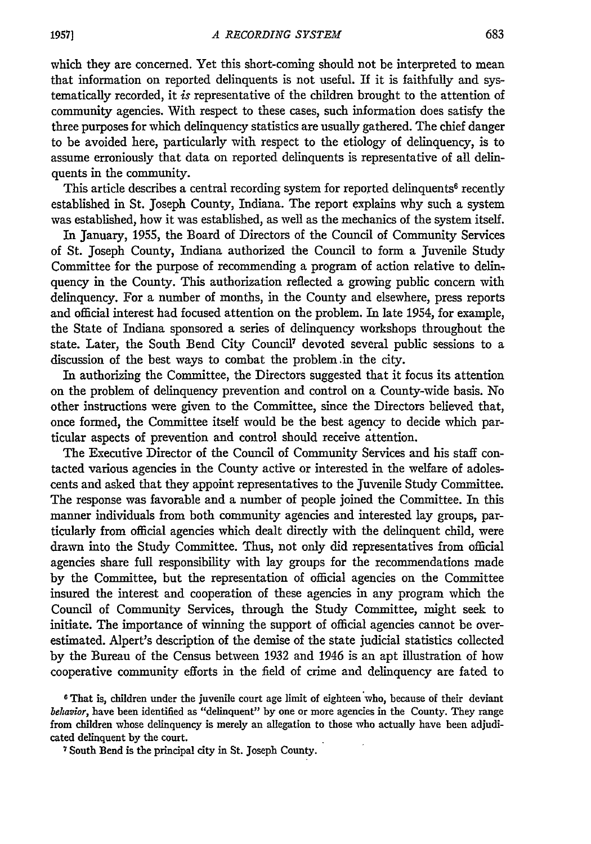which they are concerned. Yet this short-coming should not be interpreted to mean that information on reported delinquents is not useful. If it is faithfully and systematically recorded, it is representative of the children brought to the attention of community agencies. With respect to these cases, such information does satisfy the three purposes for which delinquency statistics are usually gathered. The chief danger to be avoided here, particularly with respect to the etiology of delinquency, is to assume erroniously that data on reported delinquents is representative of all delinquents in the community.

This article describes a central recording system for reported delinquents<sup>6</sup> recently established in St. Joseph County, Indiana. The report explains why such a system was established, how it was established, as well as the mechanics of the system itself.

In January, 1955, the Board of Directors of the Council of Community Services of St. Joseph County, Indiana authorized the Council to form a Juvenile Study Committee for the purpose of recommending a program of action relative to delinquency in the County. This authorization reflected a growing public concern with delinquency. For a number of months, in the County and elsewhere, press reports and official interest had focused attention on the problem. In late 1954, for example, the State of Indiana sponsored a series of delinquency workshops throughout the state. Later, the South Bend City Council' devoted several public sessions to a discussion of the best ways to combat the problem .in the city.

In authorizing the Committee, the Directors suggested that it focus its attention on the problem of delinquency prevention and control on a County-wide basis. No other instructions were given to the Committee, since the Directors believed that, once formed, the Committee itself would be the best agency to decide which particular aspects of prevention and control should receive attention.

The Executive Director of the Council of Community Services and his staff contacted various agencies in the County active or interested in the welfare of adolescents and asked that they appoint representatives to the juvenile Study Committee. The response was favorable and a number of people joined the Committee. In this manner individuals from both community agencies and interested lay groups, particularly from official agencies which dealt directly with the delinquent child, were drawn into the Study Committee. Thus, not only did representatives from official agencies share full responsibility with lay groups for the recommendations made by the Committee, but the representation of official agencies on the Committee insured the interest and cooperation of these agencies in any program which the Council of Community Services, through the Study Committee, might seek to initiate. The importance of winning the support of official agencies cannot be overestimated. Alpert's description of the demise of the state judicial statistics collected by the Bureau of the Census between 1932 and 1946 is an apt illustration of how cooperative community efforts in the field of crime and delinquency are fated to

<sup>6</sup> That is, children under the juvenile court age limit of eighteen who, because of their deviant *behavior,* have been identified as "delinquent" by one or more agencies in the County. They range from children whose delinquency is merely an allegation to those who actually have been adjudicated delinquent by the court.

7South Bend is the principal city in St. Joseph County.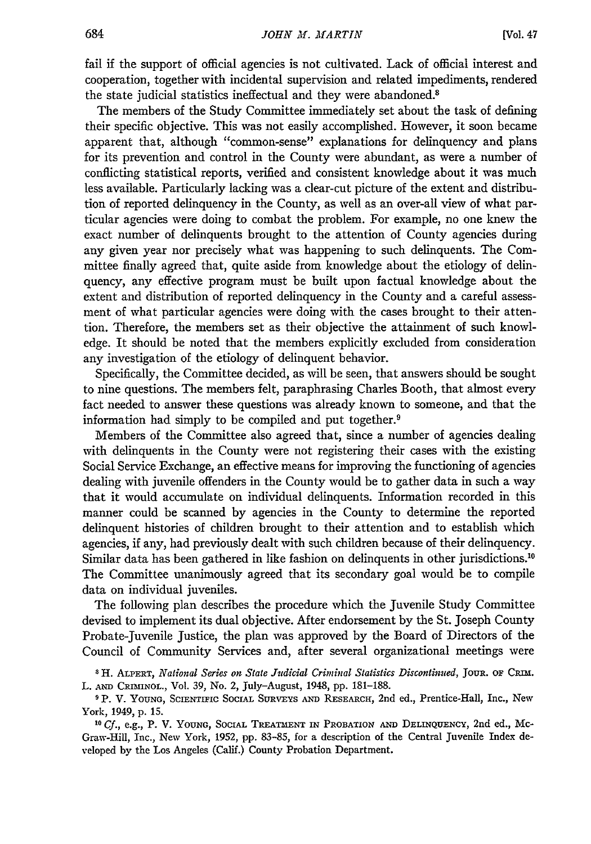fail if the support of official agencies is not cultivated. Lack of official interest and cooperation, together with incidental supervision and related impediments, rendered the state judicial statistics ineffectual and they were abandoned.<sup>8</sup>

The members of the Study Committee immediately set about the task of defining their specific objective. This was not easily accomplished. However, it soon became apparent that, although "common-sense" explanations for delinquency and plans for its prevention and control in the County were abundant, as were a number of conflicting statistical reports, verified and consistent knowledge about it was much less available. Particularly lacking was a clear-cut picture of the extent and distribution of reported delinquency in the County, as well as an over-all view of what particular agencies were doing to combat the problem. For example, no one knew the exact number of delinquents brought to the attention of County agencies during any given year nor precisely what was happening to such delinquents. The Committee finally agreed that, quite aside from knowledge about the etiology of delinquency, any effective program must be built upon factual knowledge about the extent and distribution of reported delinquency in the County and a careful assessment of what particular agencies were doing with the cases brought to their attention. Therefore, the members set as their objective the attainment of such knowledge. It should be noted that the members explicitly excluded from consideration any investigation of the etiology of delinquent behavior.

Specifically, the Committee decided, as will be seen, that answers should be sought to nine questions. The members felt, paraphrasing Charles Booth, that almost every fact needed to answer these questions was already known to someone, and that the information had simply to be compiled and put together.'

Members of the Committee also agreed that, since a number of agencies dealing with delinquents in the County were not registering their cases with the existing Social Service Exchange, an effective means for improving the functioning of agencies dealing with juvenile offenders in the County would be to gather data in such a way that it would accumulate on individual delinquents. Information recorded in this manner could be scanned by agencies in the County to determine the reported delinquent histories of children brought to their attention and to establish which agencies, if any, had previously dealt with such children because of their delinquency. Similar data has been gathered in like fashion on delinquents in other jurisdictions.<sup>10</sup> The Committee unanimously agreed that its secondary goal would be to compile data on individual juveniles.

The following plan describes the procedure which the Juvenile Study Committee devised to implement its dual objective. After endorsement by the St. Joseph County Probate-Juvenile Justice, the plan was approved by the Board of Directors of the Council of Community Services and, after several organizational meetings were

**8 H.** ALPBERT, *National Series on State Judicial Criminal Statistics Discontinued,* JouR. OF **CRm.** L. **AND** CRIMINOL., Vol. **39,** No. 2, July-August, 1948, **pp. 181-188.**

**9** P. V. **YOUNG, SCIENTmC SOCIAL SuRvEYs AND** RESEARCH, 2nd ed., Prentice-Hall, Inc., **New York,** 1949, **p. 15.**

**10** *Cf.,* e.g., **P. V. YOUNG,** SOCIAL TREATMENT IN PROBATION **AND** DELINQUENCY, 2nd **ed.,** Mc-Graw-Hill, Inc., New York, **1952, pp. 83-85, for a** description of **the** Central Juvenile Index developed **by** the Los Angeles (Calif.) County Probation Department.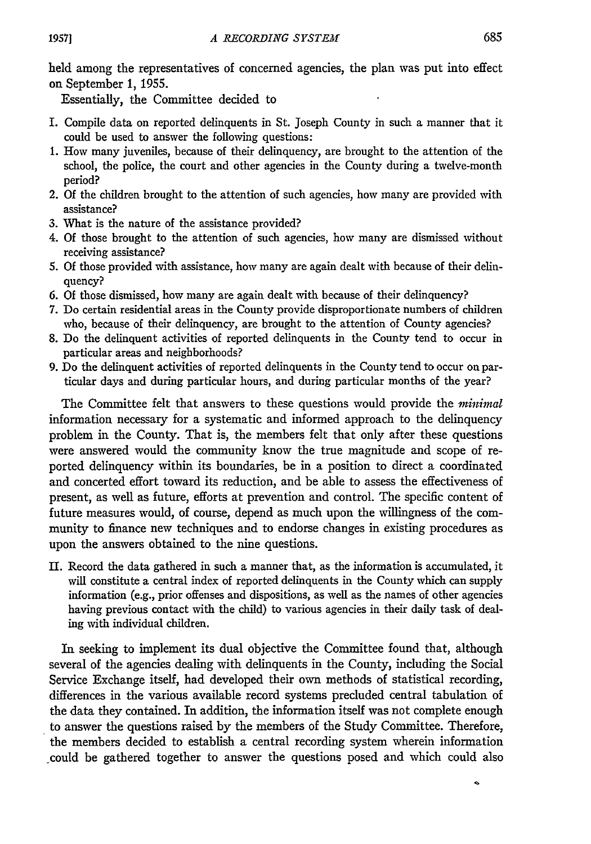held among the representatives of concerned agencies, the plan was put into effect on September 1, 1955.

Essentially, the Committee decided to

- I. Compile data on reported delinquents in St. Joseph County in such a manner that it could be used to answer the following questions:
- 1. How many juveniles, because of their delinquency, are brought to the attention of the school, the police, the court and other agencies in the County during a twelve-month period?
- 2. Of the children brought to the attention of such agencies, how many are provided with assistance?
- 3. What is the nature of the assistance provided?
- 4. Of those brought to the attention of such agencies, how many are dismissed without receiving assistance?
- 5. Of those provided with assistance, how many are again dealt with because of their delinquency?
- 6. Of those dismissed, how many are again dealt with because of their delinquency?
- 7. Do certain residential areas in the County provide disproportionate numbers of children who, because of their delinquency, are brought to the attention of County agencies?
- 8. Do the delinquent activities of reported delinquents in the County tend to occur in particular areas and neighborhoods?
- 9. Do the delinquent activities of reported delinquents in the County tend to occur on particular days and during particular hours, and during particular months of the year?

The Committee felt that answers to these questions would provide the *minimal* information necessary for a systematic and informed approach to the delinquency problem in the County. That is, the members felt that only after these questions were answered would the community know the true magnitude and scope of reported delinquency within its boundaries, be in a position to direct a coordinated and concerted effort toward its reduction, and be able to assess the effectiveness of present, as well as future, efforts at prevention and control. The specific content of future measures would, of course, depend as much upon the willingness of the community to finance new techniques and to endorse changes in existing procedures as upon the answers obtained to the nine questions.

**II.** Record the data gathered in such a manner that, as the information is accumulated, it will constitute a central index of reported delinquents in the County which can supply information (e.g., prior offenses and dispositions, as well as the names of other agencies having previous contact with the child) to various agencies in their daily task of dealing with individual children.

In seeking to implement its dual objective the Committee found that, although several of the agencies dealing with delinquents in the County, including the Social Service Exchange itself, had developed their own methods of statistical recording, differences in the various available record systems precluded central tabulation of the data they contained. In addition, the information itself was not complete enough to answer the questions raised **by** the members of the Study Committee. Therefore, the members decided to establish a central recording system wherein information could be gathered together to answer the questions posed and which could also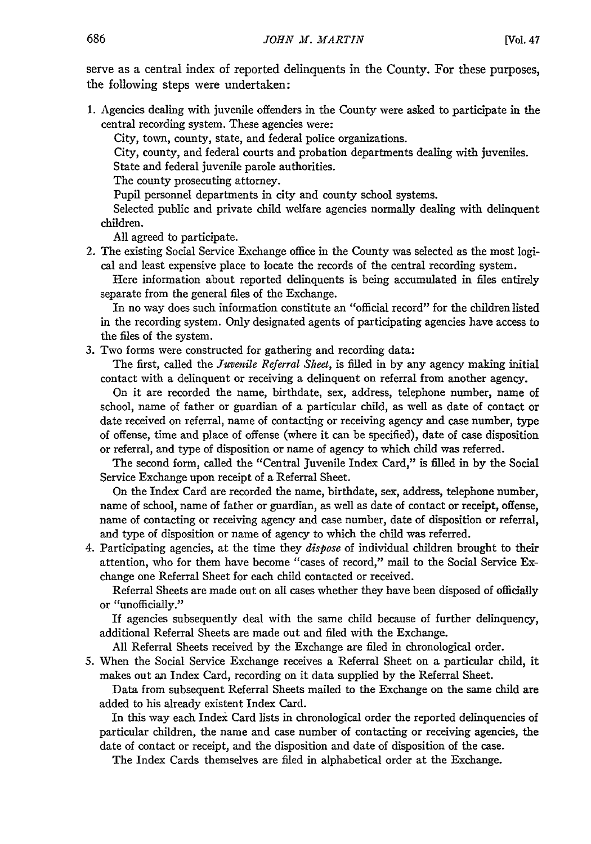serve as a central index of reported delinquents in the County. For these purposes, the following steps were undertaken:

1. Agencies dealing with juvenile offenders in the County were asked to participate in the central recording system. These agencies were:

City, town, county, state, and federal police organizations.

City, county, and federal courts and probation departments dealing with juveniles.

State and federal juvenile parole authorities.

The county prosecuting attorney.

Pupil personnel departments in city and county school systems.

Selected public and private child welfare agencies normally dealing with delinquent children.

All agreed to participate.

2. The existing Social Service Exchange office in the County was selected as the most logical and least expensive place to locate the records of the central recording system.

Here information about reported delinquents is being accumulated in files entirely separate from the general files of the Exchange.

In no way does such information constitute an "official record" for the children listed in the recording system. Only designated agents of participating agencies have access to the files of the system.

3. Two forms were constructed for gathering and recording data:

The first, called the *Juvenile Referral Sheet,* is filled in by any agency making initial contact with a delinquent or receiving a delinquent on referral from another agency.

On it are recorded the name, birthdate, sex, address, telephone number, name of school, name of father or guardian of a particular child, as well as date of contact or date received on referral, name of contacting or receiving agency and case number, type of offense, time and place of offense (where it can be specified), date of case disposition or referral, and type of disposition or name of agency to which child was referred.

The second form, called the "Central Juvenile Index Card," is filled in by the Social Service Exchange upon receipt of a Referral Sheet.

On the Index Card are recorded the name, birthdate, sex, address, telephone number, name of school, name of father or guardian, as well as date of contact or receipt, offense, name of contacting or receiving agency and case number, date of disposition or referral, and type of disposition or name of agency to which the child was referred.

4. Participating agencies, at the time they *dispose* of individual children brought to their attention, who for them have become "cases of record," mail to the Social Service Exchange one Referral Sheet for each child contacted or received.

Referral Sheets are made out on all cases whether they have been disposed of officially or "unofficially."

If agencies subsequently deal with the same child because of further delinquency, additional Referral Sheets are made out and filed with the Exchange.

All Referral Sheets received by the Exchange are filed in chronological order.

*5.* When the Social Service Exchange receives a Referral Sheet on a particular child, it makes out an Index Card, recording on it data supplied by the Referral Sheet.

Data from subsequent Referral Sheets mailed to the Exchange on the same child are added to his already existent Index Card.

In this way each Index Card lists in chronological order the reported delinquencies of particular children, the name and case number of contacting or receiving agencies, the date of contact or receipt, and the disposition and date of disposition of the case.

The Index Cards themselves are filed in alphabetical order at the Exchange.